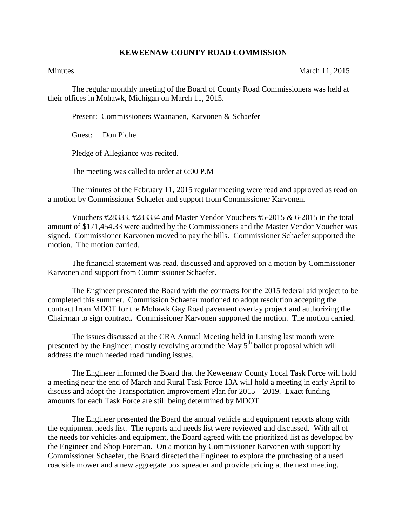## **KEWEENAW COUNTY ROAD COMMISSION**

Minutes March 11, 2015

The regular monthly meeting of the Board of County Road Commissioners was held at their offices in Mohawk, Michigan on March 11, 2015.

Present: Commissioners Waananen, Karvonen & Schaefer

Guest: Don Piche

Pledge of Allegiance was recited.

The meeting was called to order at 6:00 P.M

The minutes of the February 11, 2015 regular meeting were read and approved as read on a motion by Commissioner Schaefer and support from Commissioner Karvonen.

Vouchers  $\#28333$ ,  $\#283334$  and Master Vendor Vouchers  $\#5-2015$  & 6-2015 in the total amount of \$171,454.33 were audited by the Commissioners and the Master Vendor Voucher was signed. Commissioner Karvonen moved to pay the bills. Commissioner Schaefer supported the motion. The motion carried.

The financial statement was read, discussed and approved on a motion by Commissioner Karvonen and support from Commissioner Schaefer.

The Engineer presented the Board with the contracts for the 2015 federal aid project to be completed this summer. Commission Schaefer motioned to adopt resolution accepting the contract from MDOT for the Mohawk Gay Road pavement overlay project and authorizing the Chairman to sign contract. Commissioner Karvonen supported the motion. The motion carried.

The issues discussed at the CRA Annual Meeting held in Lansing last month were presented by the Engineer, mostly revolving around the May  $5<sup>th</sup>$  ballot proposal which will address the much needed road funding issues.

The Engineer informed the Board that the Keweenaw County Local Task Force will hold a meeting near the end of March and Rural Task Force 13A will hold a meeting in early April to discuss and adopt the Transportation Improvement Plan for 2015 – 2019. Exact funding amounts for each Task Force are still being determined by MDOT.

The Engineer presented the Board the annual vehicle and equipment reports along with the equipment needs list. The reports and needs list were reviewed and discussed. With all of the needs for vehicles and equipment, the Board agreed with the prioritized list as developed by the Engineer and Shop Foreman. On a motion by Commissioner Karvonen with support by Commissioner Schaefer, the Board directed the Engineer to explore the purchasing of a used roadside mower and a new aggregate box spreader and provide pricing at the next meeting.